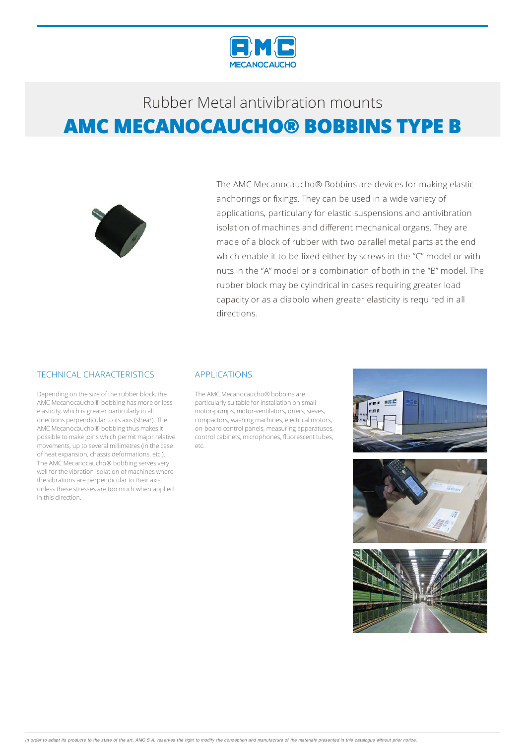



The AMC Mecanocaucho® Bobbins are devices for making elastic anchorings or fixings. They can be used in a wide variety of applications, particularly for elastic suspensions and antivibration isolation of machines and different mechanical organs. They are made of a block of rubber with two parallel metal parts at the end which enable it to be fixed either by screws in the "C" model or with nuts in the ''A" model or a combination of both in the ''B" model. The rubber block may be cylindrical in cases requiring greater load capacity or as a diabolo when greater elasticity is required in all directions.

#### TECHNICAL CHARACTERISTICS

Depending on the size of the rubber block, the AMC Mecanocaucho® bobbing has more or less elasticity, which is greater particularly in all directions perpendicular to itsaxis(shear).The AMC Mecanocaucho® bobbing thus makes it possible to make joins which permit major relative movements, up to several millimetres(in the case of heat expansion, chassis deformations, etc.). The AMC Mecanocaucho® bobbing serves very well for the vibration isolation of machines where the vibrations are perpendicular to their axis, unless these stresses are too much when applied in this direction.

#### APPLICATIONS

The AMC Mecanocaucho® bobbins are particularly suitable for installation on small motor-pumps, motor-ventilators, driers, sieves, compactors, washing machines, electrical motors, on-board control panels, measuringapparatuses, control cabinets, microphones, fluorescent tubes, etc.





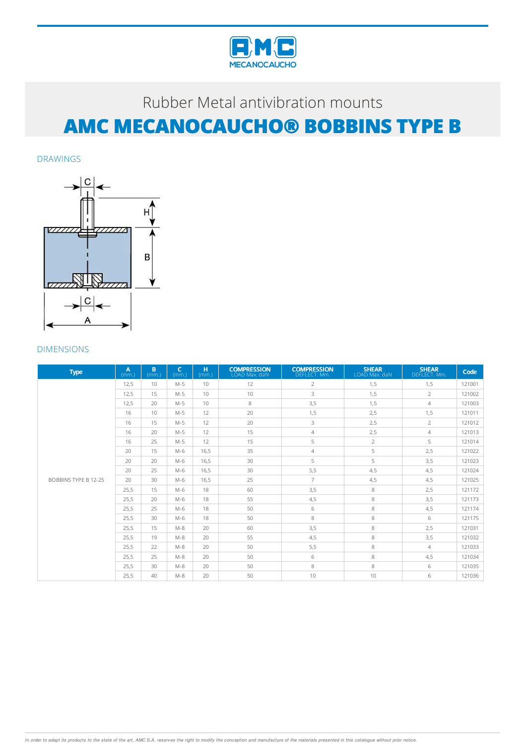

DRAWINGS



| <b>Type</b>                 | A<br>(mm.) | B<br>(mm.) | $\mathsf{C}$<br>(mm) | H.<br>(mm.) | <b>COMPRESSION</b><br>LOAD Max. daN | <b>COMPRESSION</b><br>DEFLECT. Mm. | <b>SHEAR</b><br>LOAD Max. daN | <b>SHEAR</b><br>DEFLECT. Mm. | Code   |
|-----------------------------|------------|------------|----------------------|-------------|-------------------------------------|------------------------------------|-------------------------------|------------------------------|--------|
|                             | 12.5       | 10         | $M-5$                | 10          | 12                                  | $\overline{2}$                     | 1,5                           | 1,5                          | 121001 |
|                             | 12.5       | 15         | $M-5$                | 10          | 10                                  | 3                                  | 1,5                           | $\overline{2}$               | 121002 |
|                             | 12.5       | 20         | $M-5$                | 10          | 8                                   | 3,5                                | 1,5                           | $\overline{4}$               | 121003 |
|                             | 16         | 10         | $M-5$                | 12          | 20                                  | 1,5                                | 2,5                           | 1,5                          | 121011 |
|                             | 16         | 15         | $M-5$                | 12          | 20                                  | 3                                  | 2,5                           | $\overline{2}$               | 121012 |
|                             | 16         | 20         | $M-5$                | 12          | 15                                  | $\overline{4}$                     | 2,5                           | $\overline{4}$               | 121013 |
|                             | 16         | 25         | $M-5$                | 12          | 15                                  | 5                                  | $\overline{2}$                | 5                            | 121014 |
|                             | 20         | 15         | $M-6$                | 16,5        | 35                                  | $\overline{4}$                     | 5                             | 2,5                          | 121022 |
|                             | 20         | 20         | $M-6$                | 16,5        | 30                                  | 5                                  | 5                             | 3,5                          | 121023 |
|                             | 20         | 25         | $M-6$                | 16,5        | 30                                  | 5,5                                | 4,5                           | 4,5                          | 121024 |
| <b>BOBBINS TYPE B 12-25</b> | 20         | 30         | $M-6$                | 16,5        | 25                                  | $\overline{7}$                     | 4,5                           | 4,5                          | 121025 |
|                             | 25,5       | 15         | $M-6$                | 18          | 60                                  | 3,5                                | 8                             | 2,5                          | 121172 |
|                             | 25,5       | 20         | $M-6$                | 18          | 55                                  | 4,5                                | 8                             | 3,5                          | 121173 |
|                             | 25.5       | 25         | $M-6$                | 18          | 50                                  | 6                                  | 8                             | 4,5                          | 121174 |
|                             | 25,5       | 30         | $M-6$                | 18          | 50                                  | 8                                  | 8                             | 6                            | 121175 |
|                             | 25.5       | 15         | $M-8$                | 20          | 60                                  | 3,5                                | 8                             | 2,5                          | 121031 |
|                             | 25.5       | 19         | $M-8$                | 20          | 55                                  | 4,5                                | 8                             | 3,5                          | 121032 |
|                             | 25.5       | 22         | $M-8$                | 20          | 50                                  | 5,5                                | 8                             | $\overline{4}$               | 121033 |
|                             | 25.5       | 25         | $M-8$                | 20          | 50                                  | 6                                  | 8                             | 4,5                          | 121034 |
|                             | 25,5       | 30         | $M-8$                | 20          | 50                                  | 8                                  | 8                             | 6                            | 121035 |
|                             | 25,5       | 40         | $M-8$                | 20          | 50                                  | 10                                 | 10                            | 6                            | 121036 |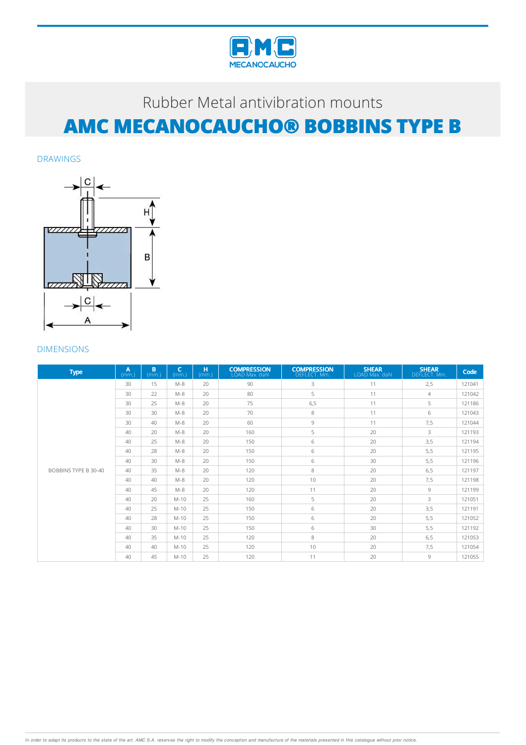

DRAWINGS



| <b>Type</b>          | A<br>(mm.) | B<br>(mm) | $\epsilon$<br>(mm.) | H.<br>(mm.) | <b>COMPRESSION</b><br>LOAD Max. daN | <b>COMPRESSION</b><br>DEFLECT. Mm. | <b>SHEAR</b><br>LOAD Max. daN | <b>SHEAR</b><br>DEFLECT. Mm. | Code   |
|----------------------|------------|-----------|---------------------|-------------|-------------------------------------|------------------------------------|-------------------------------|------------------------------|--------|
|                      | 30         | 15        | $M-8$               | 20          | 90                                  | 3                                  | 11                            | 2,5                          | 121041 |
|                      | 30         | 22        | $M-8$               | 20          | 80                                  | 5                                  | 11                            | $\overline{4}$               | 121042 |
|                      | 30         | 25        | $M-8$               | 20          | 75                                  | 6, 5                               | 11                            | 5                            | 121186 |
|                      | 30         | 30        | $M-8$               | 20          | 70                                  | 8                                  | 11                            | 6                            | 121043 |
|                      | 30         | 40        | $M-8$               | 20          | 60                                  | 9                                  | 11                            | 7,5                          | 121044 |
|                      | 40         | 20        | $M-8$               | 20          | 160                                 | 5                                  | 20                            | 3                            | 121193 |
|                      | 40         | 25        | $M-8$               | 20          | 150                                 | 6                                  | 20                            | 3,5                          | 121194 |
|                      | 40         | 28        | $M-8$               | 20          | 150                                 | 6                                  | 20                            | 5,5                          | 121195 |
|                      | 40         | 30        | $M-8$               | 20          | 150                                 | 6                                  | 30                            | 5,5                          | 121196 |
| BOBBINS TYPE B 30-40 | 40         | 35        | $M-8$               | 20          | 120                                 | 8                                  | 20                            | 6,5                          | 121197 |
|                      | 40         | 40        | $M-8$               | 20          | 120                                 | 10                                 | 20                            | 7,5                          | 121198 |
|                      | 40         | 45        | $M-8$               | 20          | 120                                 | 11                                 | 20                            | 9                            | 121199 |
|                      | 40         | 20        | $M-10$              | 25          | 160                                 | 5                                  | 20                            | 3                            | 121051 |
|                      | 40         | 25        | $M-10$              | 25          | 150                                 | 6                                  | 20                            | 3,5                          | 121191 |
|                      | 40         | 28        | $M-10$              | 25          | 150                                 | 6                                  | 20                            | 5, 5                         | 121052 |
|                      | 40         | 30        | $M-10$              | 25          | 150                                 | 6                                  | 30                            | 5, 5                         | 121192 |
|                      | 40         | 35        | $M-10$              | 25          | 120                                 | 8                                  | 20                            | 6,5                          | 121053 |
|                      | 40         | 40        | $M-10$              | 25          | 120                                 | 10                                 | 20                            | 7,5                          | 121054 |
|                      | 40         | 45        | $M-10$              | 25          | 120                                 | 11                                 | 20                            | 9                            | 121055 |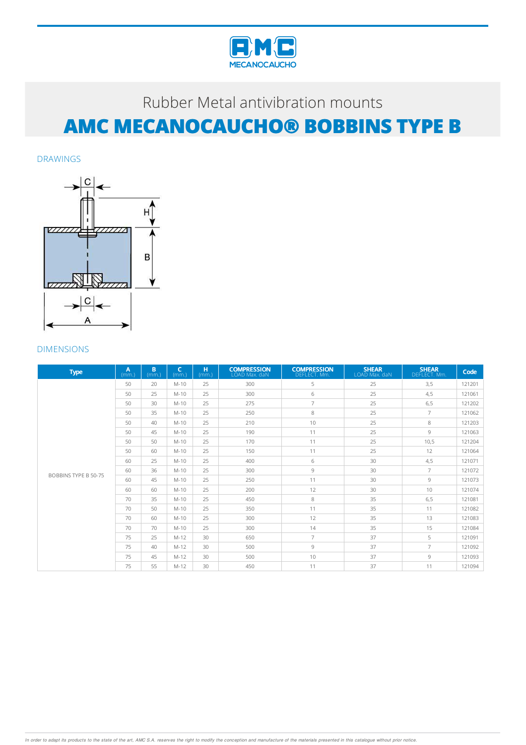

DRAWINGS



| <b>Type</b>          | A<br>(mm.) | B<br>(mm) | $\epsilon$<br>(mm.) | H.<br>(mm.) | <b>COMPRESSION</b><br>LOAD Max. daN | <b>COMPRESSION</b><br>DEFLECT. Mm. | <b>SHEAR</b><br>LOAD Max. daN | <b>SHEAR</b><br>DEFLECT. Mm. | Code   |
|----------------------|------------|-----------|---------------------|-------------|-------------------------------------|------------------------------------|-------------------------------|------------------------------|--------|
|                      | 50         | 20        | $M-10$              | 25          | 300                                 | 5                                  | 25                            | 3,5                          | 121201 |
|                      | 50         | 25        | $M-10$              | 25          | 300                                 | 6                                  | 25                            | 4,5                          | 121061 |
|                      | 50         | 30        | $M-10$              | 25          | 275                                 | $\overline{7}$                     | 25                            | 6,5                          | 121202 |
|                      | 50         | 35        | $M-10$              | 25          | 250                                 | 8                                  | 25                            | $\overline{7}$               | 121062 |
|                      | 50         | 40        | $M-10$              | 25          | 210                                 | 10                                 | 25                            | 8                            | 121203 |
|                      | 50         | 45        | $M-10$              | 25          | 190                                 | 11                                 | 25                            | 9                            | 121063 |
|                      | 50         | 50        | $M-10$              | 25          | 170                                 | 11                                 | 25                            | 10,5                         | 121204 |
|                      | 50         | 60        | $M-10$              | 25          | 150                                 | 11                                 | 25                            | 12                           | 121064 |
|                      | 60         | 25        | $M-10$              | 25          | 400                                 | 6                                  | 30                            | 4,5                          | 121071 |
| BOBBINS TYPE B 50-75 | 60         | 36        | $M-10$              | 25          | 300                                 | 9                                  | 30                            | $\overline{7}$               | 121072 |
|                      | 60         | 45        | $M-10$              | 25          | 250                                 | 11                                 | 30                            | 9                            | 121073 |
|                      | 60         | 60        | $M-10$              | 25          | 200                                 | 12                                 | 30                            | 10                           | 121074 |
|                      | 70         | 35        | $M-10$              | 25          | 450                                 | 8                                  | 35                            | 6,5                          | 121081 |
|                      | 70         | 50        | $M-10$              | 25          | 350                                 | 11                                 | 35                            | 11                           | 121082 |
|                      | 70         | 60        | $M-10$              | 25          | 300                                 | 12                                 | 35                            | 13                           | 121083 |
|                      | 70         | 70        | $M-10$              | 25          | 300                                 | 14                                 | 35                            | 15                           | 121084 |
|                      | 75         | 25        | $M-12$              | 30          | 650                                 | $\overline{7}$                     | 37                            | 5                            | 121091 |
|                      | 75         | 40        | $M-12$              | 30          | 500                                 | $\overline{9}$                     | 37                            | $\overline{7}$               | 121092 |
|                      | 75         | 45        | $M-12$              | 30          | 500                                 | 10                                 | 37                            | 9                            | 121093 |
|                      | 75         | 55        | $M-12$              | 30          | 450                                 | 11                                 | 37                            | 11                           | 121094 |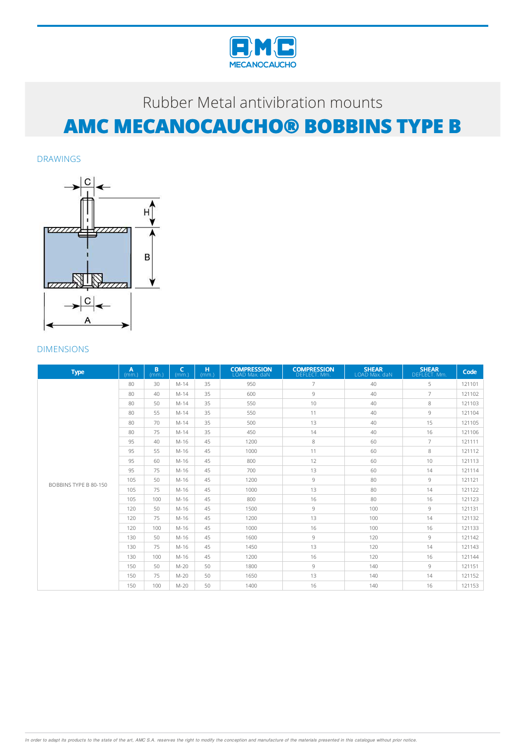

DRAWINGS



| <b>Type</b>           | A<br>(mm) | B.<br>(mm) | $\mathsf{C}$<br>(mm.) | H<br>(mm.) | <b>COMPRESSION</b><br>LOAD Max. daN | <b>COMPRESSION</b><br>DEFLECT. Mm. | <b>SHEAR</b><br>LOAD Max. daN | <b>SHEAR</b><br>DEFLECT. Mm. | Code   |
|-----------------------|-----------|------------|-----------------------|------------|-------------------------------------|------------------------------------|-------------------------------|------------------------------|--------|
|                       | 80        | 30         | $M-14$                | 35         | 950                                 | $\overline{7}$                     | 40                            | 5                            | 121101 |
|                       | 80        | 40         | $M-14$                | 35         | 600                                 | 9                                  | 40                            | $\overline{7}$               | 121102 |
|                       | 80        | 50         | $M-14$                | 35         | 550                                 | 10                                 | 40                            | 8                            | 121103 |
|                       | 80        | 55         | $M-14$                | 35         | 550                                 | 11                                 | 40                            | 9                            | 121104 |
|                       | 80        | 70         | $M-14$                | 35         | 500                                 | 13                                 | 40                            | 15                           | 121105 |
|                       | 80        | 75         | $M-14$                | 35         | 450                                 | 14                                 | 40                            | 16                           | 121106 |
|                       | 95        | 40         | $M-16$                | 45         | 1200                                | 8                                  | 60                            | $\overline{7}$               | 121111 |
|                       | 95        | 55         | $M-16$                | 45         | 1000                                | 11                                 | 60                            | 8                            | 121112 |
|                       | 95        | 60         | $M-16$                | 45         | 800                                 | 12                                 | 60                            | 10                           | 121113 |
|                       | 95        | 75         | $M-16$                | 45         | 700                                 | 13                                 | 60                            | 14                           | 121114 |
| BOBBINS TYPE B 80-150 | 105       | 50         | $M-16$                | 45         | 1200                                | 9                                  | 80                            | $\circ$                      | 121121 |
|                       | 105       | 75         | $M-16$                | 45         | 1000                                | 13                                 | 80                            | 14                           | 121122 |
|                       | 105       | 100        | $M-16$                | 45         | 800                                 | 16                                 | 80                            | 16                           | 121123 |
|                       | 120       | 50         | $M-16$                | 45         | 1500                                | $\overline{9}$                     | 100                           | $\circ$                      | 121131 |
|                       | 120       | 75         | $M-16$                | 45         | 1200                                | 13                                 | 100                           | 14                           | 121132 |
|                       | 120       | 100        | $M-16$                | 45         | 1000                                | 16                                 | 100                           | 16                           | 121133 |
|                       | 130       | 50         | $M-16$                | 45         | 1600                                | $\overline{9}$                     | 120                           | 9                            | 121142 |
|                       | 130       | 75         | $M-16$                | 45         | 1450                                | 13                                 | 120                           | 14                           | 121143 |
|                       | 130       | 100        | $M-16$                | 45         | 1200                                | 16                                 | 120                           | 16                           | 121144 |
|                       | 150       | 50         | $M-20$                | 50         | 1800                                | 9                                  | 140                           | 9                            | 121151 |
|                       | 150       | 75         | $M-20$                | 50         | 1650                                | 13                                 | 140                           | 14                           | 121152 |
|                       | 150       | 100        | $M-20$                | 50         | 1400                                | 16                                 | 140                           | 16                           | 121153 |